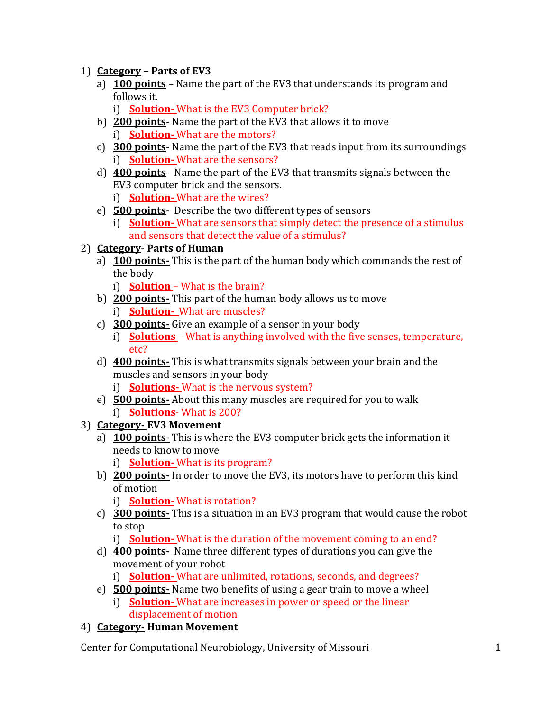- 1) **Category – Parts of EV3**
	- a) **100 points** Name the part of the EV3 that understands its program and follows it.
		- i) **Solution-** What is the EV3 Computer brick?
	- b) **200 points** Name the part of the EV3 that allows it to move i) **Solution-** What are the motors?
	- c) **300 points** Name the part of the EV3 that reads input from its surroundings i) **Solution-** What are the sensors?
	- d) **400 points** Name the part of the EV3 that transmits signals between the EV3 computer brick and the sensors.
		- i) **Solution-** What are the wires?
	- e) **500 points** Describe the two different types of sensors
		- i) **Solution-** What are sensors that simply detect the presence of a stimulus and sensors that detect the value of a stimulus?
- 2) **Category Parts of Human**
	- a) **100 points-** This is the part of the human body which commands the rest of the body
		- i) **Solution**  What is the brain?
	- b) **200 points-** This part of the human body allows us to move i) **Solution-** What are muscles?
	- c) **300 points-** Give an example of a sensor in your body
	- i) **Solutions**  What is anything involved with the five senses, temperature, etc?
	- d) **400 points-** This is what transmits signals between your brain and the muscles and sensors in your body
		- i) **Solutions-** What is the nervous system?
	- e) **500 points-** About this many muscles are required for you to walk i) **Solutions**- What is 200?
- 3) **Category- EV3 Movement**
	- a) **100 points-** This is where the EV3 computer brick gets the information it needs to know to move
		- i) **Solution-** What is its program?
	- b) **200 points-** In order to move the EV3, its motors have to perform this kind of motion
		- i) **Solution-** What is rotation?
	- c) **300 points-** This is a situation in an EV3 program that would cause the robot to stop
		- i) **Solution-** What is the duration of the movement coming to an end?
	- d) **400 points-** Name three different types of durations you can give the movement of your robot
		- i) **Solution-** What are unlimited, rotations, seconds, and degrees?
	- e) **500 points-** Name two benefits of using a gear train to move a wheel
		- i) **Solution-** What are increases in power or speed or the linear displacement of motion
- 4) **Category- Human Movement**

Center for Computational Neurobiology, University of Missouri 1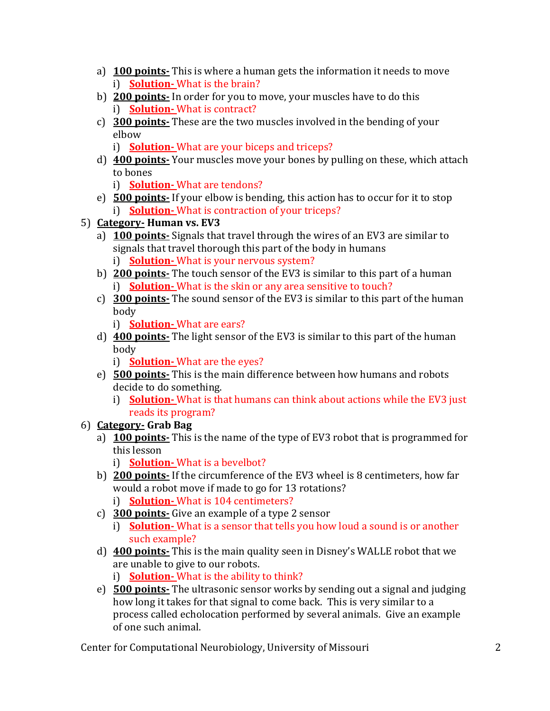- a) **100 points-** This is where a human gets the information it needs to move i) **Solution-** What is the brain?
- b) **200 points-** In order for you to move, your muscles have to do this i) **Solution-** What is contract?
- c) **300 points-** These are the two muscles involved in the bending of your elbow
	- i) **Solution-** What are your biceps and triceps?
- d) **400 points-** Your muscles move your bones by pulling on these, which attach to bones
	- i) **Solution-** What are tendons?
- e) **500 points-** If your elbow is bending, this action has to occur for it to stop i) **Solution-** What is contraction of your triceps?
- 5) **Category- Human vs. EV3**
	- a) **100 points-** Signals that travel through the wires of an EV3 are similar to signals that travel thorough this part of the body in humans i) **Solution-** What is your nervous system?
	- b) **200 points-** The touch sensor of the EV3 is similar to this part of a human i) **Solution-** What is the skin or any area sensitive to touch?
	- c) **300 points-** The sound sensor of the EV3 is similar to this part of the human body
		- i) **Solution-** What are ears?
	- d) **400 points-** The light sensor of the EV3 is similar to this part of the human body
		- i) **Solution-** What are the eyes?
	- e) **500 points-** This is the main difference between how humans and robots decide to do something.
		- i) **Solution-** What is that humans can think about actions while the EV3 just reads its program?
- 6) **Category- Grab Bag**
	- a) **100 points-** This is the name of the type of EV3 robot that is programmed for this lesson
		- i) **Solution-** What is a bevelbot?
	- b) **200 points-** If the circumference of the EV3 wheel is 8 centimeters, how far would a robot move if made to go for 13 rotations? i) **Solution-** What is 104 centimeters?
	- c) **300 points-** Give an example of a type 2 sensor
		- i) **Solution-** What is a sensor that tells you how loud a sound is or another such example?
	- d) **400 points-** This is the main quality seen in Disney's WALLE robot that we are unable to give to our robots.

i) **Solution-** What is the ability to think?

e) **500 points-** The ultrasonic sensor works by sending out a signal and judging how long it takes for that signal to come back. This is very similar to a process called echolocation performed by several animals. Give an example of one such animal.

Center for Computational Neurobiology, University of Missouri 2